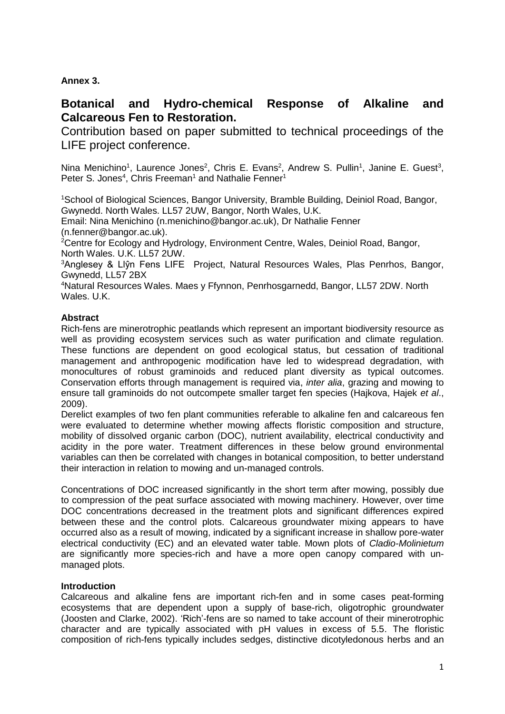**Annex 3.**

# **Botanical and Hydro-chemical Response of Alkaline and Calcareous Fen to Restoration.**

Contribution based on paper submitted to technical proceedings of the LIFE project conference.

Nina Menichino<sup>1</sup>, Laurence Jones<sup>2</sup>, Chris E. Evans<sup>2</sup>, Andrew S. Pullin<sup>1</sup>, Janine E. Guest<sup>3</sup>, Peter S. Jones<sup>4</sup>, Chris Freeman<sup>1</sup> and Nathalie Fenner<sup>1</sup>

<sup>1</sup>School of Biological Sciences, Bangor University, Bramble Building, Deiniol Road, Bangor, Gwynedd. North Wales. LL57 2UW, Bangor, North Wales, U.K.

Email: Nina Menichino [\(n.menichino@bangor.ac.uk\)](mailto:n.menichino@bangor.ac.uk), Dr Nathalie Fenner [\(n.fenner@bangor.ac.uk\)](mailto:n.fenner@bangor.ac.uk).

<sup>2</sup>Centre for Ecology and Hydrology, Environment Centre, Wales, Deiniol Road, Bangor, North Wales. U.K. LL57 2UW.

<sup>3</sup>Anglesey & Llŷn Fens LIFE Project, Natural Resources Wales, Plas Penrhos, Bangor, Gwynedd, LL57 2BX

<sup>4</sup>Natural Resources Wales. Maes y Ffynnon, Penrhosgarnedd, Bangor, LL57 2DW. North Wales. U.K.

# **Abstract**

Rich-fens are minerotrophic peatlands which represent an important biodiversity resource as well as providing ecosystem services such as water purification and climate regulation. These functions are dependent on good ecological status, but cessation of traditional management and anthropogenic modification have led to widespread degradation, with monocultures of robust graminoids and reduced plant diversity as typical outcomes. Conservation efforts through management is required via, *inter alia*, grazing and mowing to ensure tall graminoids do not outcompete smaller target fen species [\(Hajkova, Hajek](#page-11-0) *et al*., [2009\)](#page-11-0).

Derelict examples of two fen plant communities referable to alkaline fen and calcareous fen were evaluated to determine whether mowing affects floristic composition and structure, mobility of dissolved organic carbon (DOC), nutrient availability, electrical conductivity and acidity in the pore water. Treatment differences in these below ground environmental variables can then be correlated with changes in botanical composition, to better understand their interaction in relation to mowing and un-managed controls.

Concentrations of DOC increased significantly in the short term after mowing, possibly due to compression of the peat surface associated with mowing machinery. However, over time DOC concentrations decreased in the treatment plots and significant differences expired between these and the control plots. Calcareous groundwater mixing appears to have occurred also as a result of mowing, indicated by a significant increase in shallow pore-water electrical conductivity (EC) and an elevated water table. Mown plots of *Cladio-Molinietum* are significantly more species-rich and have a more open canopy compared with unmanaged plots.

# **Introduction**

Calcareous and alkaline fens are important rich-fen and in some cases peat-forming ecosystems that are dependent upon a supply of base-rich, oligotrophic groundwater [\(Joosten and Clarke,](#page-12-0) 2002). 'Rich'-fens are so named to take account of their minerotrophic character and are typically associated with pH values in excess of 5.5. The floristic composition of rich-fens typically includes sedges, distinctive dicotyledonous herbs and an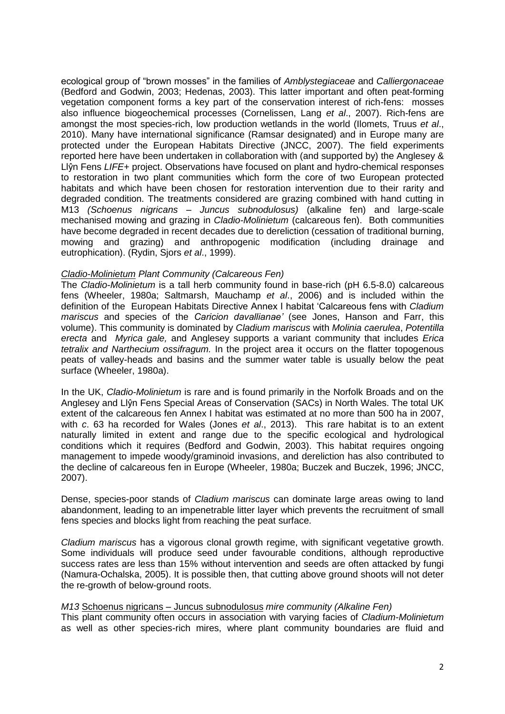ecological group of "brown mosses" in the families of *Amblystegiaceae* and *Calliergonaceae* [\(Bedford and Godwin,](#page-11-1) 2003; [Hedenas,](#page-11-2) 2003). This latter important and often peat-forming vegetation component forms a key part of the conservation interest of rich-fens: mosses also influence biogeochemical processes [\(Cornelissen, Lang](#page-11-3) *et al*., 2007). Rich-fens are amongst the most species-rich, low production wetlands in the world [\(Ilomets, Truus](#page-11-4) *et al*., [2010\)](#page-11-4). Many have international significance (Ramsar designated) and in Europe many are protected under the European Habitats Directive [\(JNCC,](#page-12-1) 2007). The field experiments reported here have been undertaken in collaboration with (and supported by) the Anglesey & Llŷn Fens *LIFE+* project. Observations have focused on plant and hydro-chemical responses to restoration in two plant communities which form the core of two European protected habitats and which have been chosen for restoration intervention due to their rarity and degraded condition. The treatments considered are grazing combined with hand cutting in M13 *(Schoenus nigricans – Juncus subnodulosus)* (alkaline fen) and large-scale mechanised mowing and grazing in *Cladio-Molinietum* (calcareous fen). Both communities have become degraded in recent decades due to dereliction (cessation of traditional burning, mowing and grazing) and anthropogenic modification (including drainage and eutrophication). [\(Rydin, Sjors](#page-13-0) *et al*., 1999).

#### *Cladio-Molinietum Plant Community (Calcareous Fen)*

The *Cladio-Molinietum* is a tall herb community found in base-rich (pH 6.5-8.0) calcareous fens (Wheeler, 1980a; [Saltmarsh, Mauchamp](#page-13-1) *et al*., 2006) and is included within the definition of the European Habitats Directive Annex I habitat 'Calcareous fens with *Cladium mariscus* and species of the *Caricion davallianae'* (see Jones, Hanson and Farr, this volume). This community is dominated by *Cladium mariscus* with *Molinia caerulea*, *Potentilla erecta* and *Myrica gale,* and Anglesey supports a variant community that includes *Erica tetralix and Narthecium ossifragum.* In the project area it occurs on the flatter topogenous peats of valley-heads and basins and the summer water table is usually below the peat surface [\(Wheeler,](#page-13-2) 1980a).

In the UK, *Cladio-Molinietum* is rare and is found primarily in the Norfolk Broads and on the Anglesey and Llŷn Fens Special Areas of Conservation (SACs) in North Wales. The total UK extent of the calcareous fen Annex I habitat was estimated at no more than 500 ha in 2007, with *c*. 63 ha recorded for Wales (Jones *et al*., 2013). This rare habitat is to an extent naturally limited in extent and range due to the specific ecological and hydrological conditions which it requires [\(Bedford and Godwin,](#page-11-1) 2003). This habitat requires ongoing management to impede woody/graminoid invasions, and dereliction has also contributed to the decline of calcareous fen in Europe [\(Wheeler,](#page-13-2) 1980a; [Buczek and Buczek,](#page-11-5) 1996; [JNCC,](#page-12-1) [2007\)](#page-12-1).

Dense, species-poor stands of *Cladium mariscus* can dominate large areas owing to land abandonment, leading to an impenetrable litter layer which prevents the recruitment of small fens species and blocks light from reaching the peat surface.

*Cladium mariscus* has a vigorous clonal growth regime, with significant vegetative growth. Some individuals will produce seed under favourable conditions, although reproductive success rates are less than 15% without intervention and seeds are often attacked by fungi [\(Namura-Ochalska,](#page-12-2) 2005). It is possible then, that cutting above ground shoots will not deter the re-growth of below-ground roots.

#### *M13* Schoenus nigricans – Juncus subnodulosus *mire community (Alkaline Fen)*

This plant community often occurs in association with varying facies of *Cladium-Molinietum* as well as other species-rich mires, where plant community boundaries are fluid and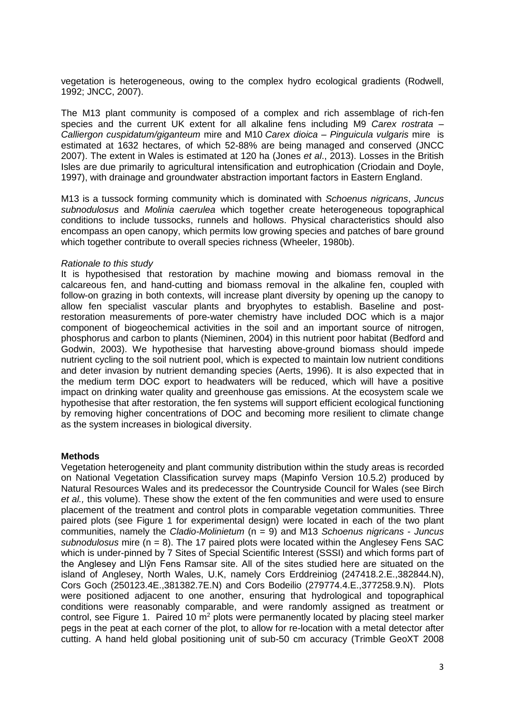vegetation is heterogeneous, owing to the complex hydro ecological gradients [\(Rodwell,](#page-13-3) [1992;](#page-13-3) [JNCC,](#page-12-1) 2007).

The M13 plant community is composed of a complex and rich assemblage of rich-fen species and the current UK extent for all alkaline fens including M9 *Carex rostrata – Calliergon cuspidatum/giganteum* mire and M10 *Carex dioica – Pinguicula vulgaris* mire is estimated at 1632 hectares, of which 52-88% are being managed and conserved [\(JNCC](#page-12-1)  [2007\)](#page-12-1). The extent in Wales is estimated at 120 ha (Jones *et al*., 2013). Losses in the British Isles are due primarily to agricultural intensification and eutrophication [\(Criodain and Doyle,](#page-11-6) [1997\)](#page-11-6), with drainage and groundwater abstraction important factors in Eastern England.

M13 is a tussock forming community which is dominated with *Schoenus nigricans*, *Juncus subnodulosus* and *Molinia caerulea* which together create heterogeneous topographical conditions to include tussocks, runnels and hollows. Physical characteristics should also encompass an open canopy, which permits low growing species and patches of bare ground which together contribute to overall species richness [\(Wheeler,](#page-13-4) 1980b).

#### *Rationale to this study*

It is hypothesised that restoration by machine mowing and biomass removal in the calcareous fen, and hand-cutting and biomass removal in the alkaline fen, coupled with follow-on grazing in both contexts, will increase plant diversity by opening up the canopy to allow fen specialist vascular plants and bryophytes to establish. Baseline and postrestoration measurements of pore-water chemistry have included DOC which is a major component of biogeochemical activities in the soil and an important source of nitrogen, phosphorus and carbon to plants [\(Nieminen,](#page-13-5) 2004) in this nutrient poor habitat [\(Bedford and](#page-11-1)  [Godwin,](#page-11-1) 2003). We hypothesise that harvesting above-ground biomass should impede nutrient cycling to the soil nutrient pool, which is expected to maintain low nutrient conditions and deter invasion by nutrient demanding species [\(Aerts,](#page-10-0) 1996). It is also expected that in the medium term DOC export to headwaters will be reduced, which will have a positive impact on drinking water quality and greenhouse gas emissions. At the ecosystem scale we hypothesise that after restoration, the fen systems will support efficient ecological functioning by removing higher concentrations of DOC and becoming more resilient to climate change as the system increases in biological diversity.

#### **Methods**

Vegetation heterogeneity and plant community distribution within the study areas is recorded on National Vegetation Classification survey maps (Mapinfo Version 10.5.2) produced by Natural Resources Wales and its predecessor the Countryside Council for Wales (see Birch *et al.,* this volume). These show the extent of the fen communities and were used to ensure placement of the treatment and control plots in comparable vegetation communities. Three paired plots (see Figure 1 for experimental design) were located in each of the two plant communities, namely the *Cladio-Molinietum* (n = 9) and M13 *Schoenus nigricans* - *Juncus subnodulosus* mire (n = 8). The 17 paired plots were located within the Anglesey Fens SAC which is under-pinned by 7 Sites of Special Scientific Interest (SSSI) and which forms part of the Anglesey and Llŷn Fens Ramsar site. All of the sites studied here are situated on the island of Anglesey, North Wales, U.K, namely Cors Erddreiniog (247418.2.E.,382844.N), Cors Goch (250123.4E.,381382.7E.N) and Cors Bodeilio (279774.4.E.,377258.9.N). Plots were positioned adjacent to one another, ensuring that hydrological and topographical conditions were reasonably comparable, and were randomly assigned as treatment or control, see Figure 1. Paired 10  $m<sup>2</sup>$  plots were permanently located by placing steel marker pegs in the peat at each corner of the plot, to allow for re-location with a metal detector after cutting. A hand held global positioning unit of sub-50 cm accuracy (Trimble GeoXT 2008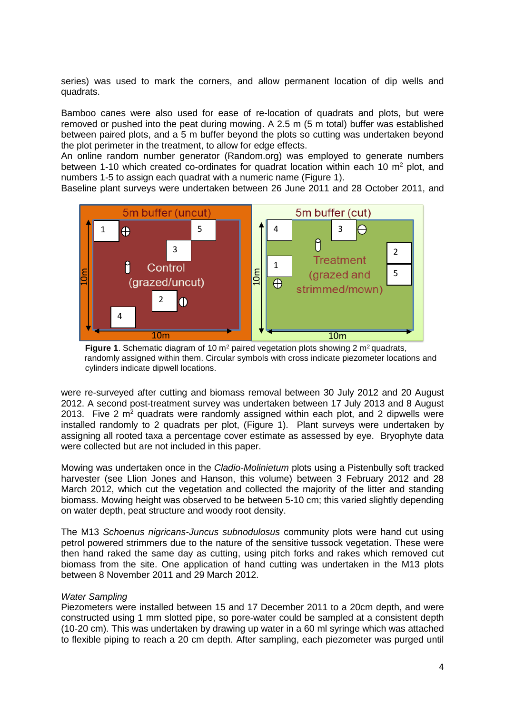series) was used to mark the corners, and allow permanent location of dip wells and quadrats.

Bamboo canes were also used for ease of re-location of quadrats and plots, but were removed or pushed into the peat during mowing. A 2.5 m (5 m total) buffer was established between paired plots, and a 5 m buffer beyond the plots so cutting was undertaken beyond the plot perimeter in the treatment, to allow for edge effects.

An online random number generator (Random.org) was employed to generate numbers between 1-10 which created co-ordinates for quadrat location within each 10  $m^2$  plot, and numbers 1-5 to assign each quadrat with a numeric name (Figure 1).

Baseline plant surveys were undertaken between 26 June 2011 and 28 October 2011, and



**Figure 1.** Schematic diagram of 10 m<sup>2</sup> paired vegetation plots showing 2 m<sup>2</sup> quadrats, randomly assigned within them. Circular symbols with cross indicate piezometer locations and cylinders indicate dipwell locations.

were re-surveyed after cutting and biomass removal between 30 July 2012 and 20 August 2012. A second post-treatment survey was undertaken between 17 July 2013 and 8 August 2013. Five 2  $m<sup>2</sup>$  quadrats were randomly assigned within each plot, and 2 dipwells were installed randomly to 2 quadrats per plot, (Figure 1). Plant surveys were undertaken by assigning all rooted taxa a percentage cover estimate as assessed by eye. Bryophyte data were collected but are not included in this paper.

Mowing was undertaken once in the *Cladio-Molinietum* plots using a Pistenbully soft tracked harvester (see Llion Jones and Hanson, this volume) between 3 February 2012 and 28 March 2012, which cut the vegetation and collected the majority of the litter and standing biomass. Mowing height was observed to be between 5-10 cm; this varied slightly depending on water depth, peat structure and woody root density.

The M13 *Schoenus nigricans-Juncus subnodulosus* community plots were hand cut using petrol powered strimmers due to the nature of the sensitive tussock vegetation. These were then hand raked the same day as cutting, using pitch forks and rakes which removed cut biomass from the site. One application of hand cutting was undertaken in the M13 plots between 8 November 2011 and 29 March 2012.

#### *Water Sampling*

Piezometers were installed between 15 and 17 December 2011 to a 20cm depth, and were constructed using 1 mm slotted pipe, so pore-water could be sampled at a consistent depth (10-20 cm). This was undertaken by drawing up water in a 60 ml syringe which was attached to flexible piping to reach a 20 cm depth. After sampling, each piezometer was purged until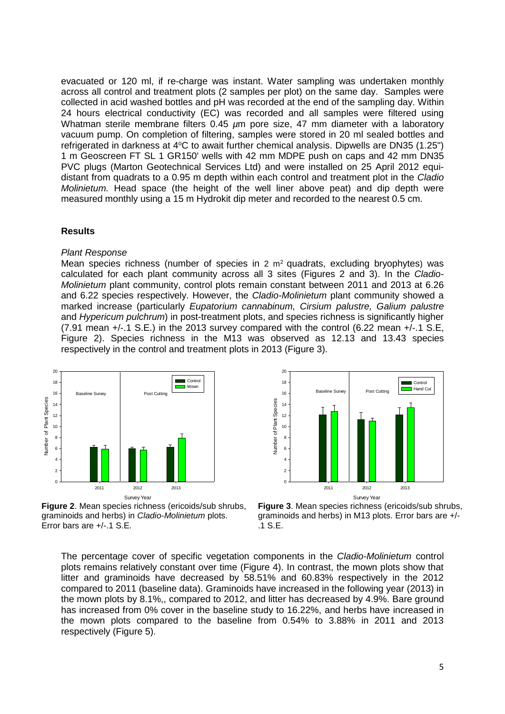evacuated or 120 ml, if re-charge was instant. Water sampling was undertaken monthly across all control and treatment plots (2 samples per plot) on the same day. Samples were collected in acid washed bottles and pH was recorded at the end of the sampling day. Within 24 hours electrical conductivity (EC) was recorded and all samples were filtered using Whatman sterile membrane filters 0.45  $\mu$ m pore size, 47 mm diameter with a laboratory vacuum pump. On completion of filtering, samples were stored in 20 ml sealed bottles and refrigerated in darkness at  $4^{\circ}$ C to await further chemical analysis. Dipwells are DN35 (1.25") 1 m Geoscreen FT SL 1 GR150' wells with 42 mm MDPE push on caps and 42 mm DN35 PVC plugs (Marton Geotechnical Services Ltd) and were installed on 25 April 2012 equidistant from quadrats to a 0.95 m depth within each control and treatment plot in the *Cladio Molinietum.* Head space (the height of the well liner above peat) and dip depth were measured monthly using a 15 m Hydrokit dip meter and recorded to the nearest 0.5 cm.

#### **Results**

#### *Plant Response*

Mean species richness (number of species in 2  $m<sup>2</sup>$  quadrats, excluding bryophytes) was calculated for each plant community across all 3 sites (Figures 2 and 3). In the *Cladio-Molinietum* plant community, control plots remain constant between 2011 and 2013 at 6.26 and 6.22 species respectively. However, the *Cladio-Molinietum* plant community showed a marked increase (particularly *Eupatorium cannabinum, Cirsium palustre, Galium palustre* and *Hypericum pulchrum*) in post-treatment plots, and species richness is significantly higher (7.91 mean +/-.1 S.E.) in the 2013 survey compared with the control (6.22 mean +/-.1 S.E, Figure 2). Species richness in the M13 was observed as 12.13 and 13.43 species respectively in the control and treatment plots in 2013 (Figure 3).





**Figure 2**. Mean species richness (ericoids/sub shrubs, graminoids and herbs) in *Cladio-Molinietum* plots. Error bars are +/-.1 S.E.



The percentage cover of specific vegetation components in the *Cladio-Molinietum* control plots remains relatively constant over time (Figure 4). In contrast, the mown plots show that litter and graminoids have decreased by 58.51% and 60.83% respectively in the 2012 compared to 2011 (baseline data). Graminoids have increased in the following year (2013) in the mown plots by 8.1%,, compared to 2012, and litter has decreased by 4.9%. Bare ground has increased from 0% cover in the baseline study to 16.22%, and herbs have increased in the mown plots compared to the baseline from 0.54% to 3.88% in 2011 and 2013 respectively (Figure 5).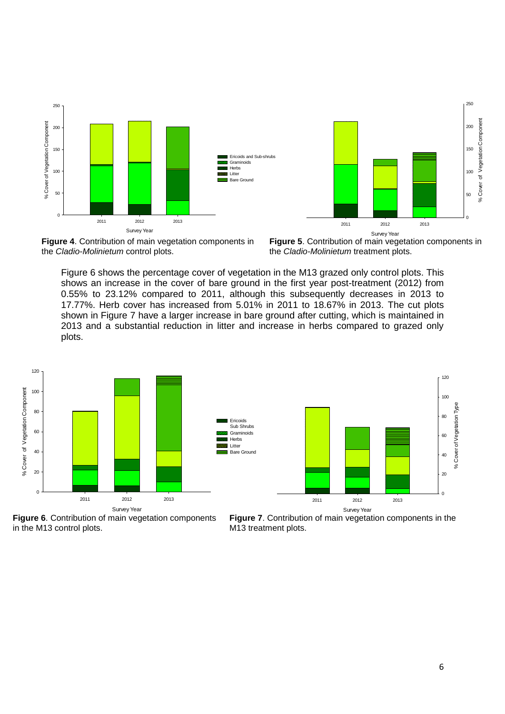



**Figure 4**. Contribution of main vegetation components in the *Cladio-Molinietum* control plots.

**Figure 5**. Contribution of main vegetation components in the *Cladio-Molinietum* treatment plots.

Figure 6 shows the percentage cover of vegetation in the M13 grazed only control plots. This shows an increase in the cover of bare ground in the first year post-treatment (2012) from 0.55% to 23.12% compared to 2011, although this subsequently decreases in 2013 to 17.77%. Herb cover has increased from 5.01% in 2011 to 18.67% in 2013. The cut plots shown in Figure 7 have a larger increase in bare ground after cutting, which is maintained in 2013 and a substantial reduction in litter and increase in herbs compared to grazed only plots.

> Ericoids Sub Shrubs **Graminoids** Herbs Litter Bare Ground





**Figure 6**. Contribution of main vegetation components in the M13 control plots.

**Figure 7**. Contribution of main vegetation components in the M13 treatment plots.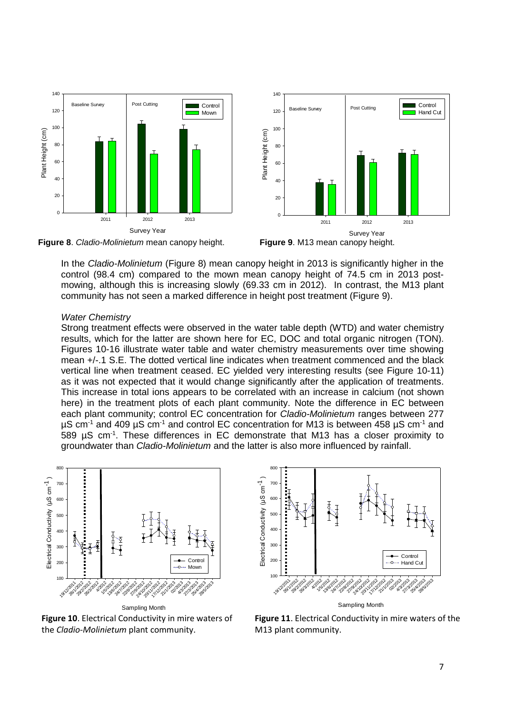

**Figure 8**. *Cladio-Molinietum* mean canopy height. **Figure 9**. M13 mean canopy height.



In the *Cladio-Molinietum* (Figure 8) mean canopy height in 2013 is significantly higher in the control (98.4 cm) compared to the mown mean canopy height of 74.5 cm in 2013 postmowing, although this is increasing slowly (69.33 cm in 2012). In contrast, the M13 plant community has not seen a marked difference in height post treatment (Figure 9).

#### *Water Chemistry*

Strong treatment effects were observed in the water table depth (WTD) and water chemistry results, which for the latter are shown here for EC, DOC and total organic nitrogen (TON). Figures 10-16 illustrate water table and water chemistry measurements over time showing mean +/-.1 S.E. The dotted vertical line indicates when treatment commenced and the black vertical line when treatment ceased. EC yielded very interesting results (see Figure 10-11) as it was not expected that it would change significantly after the application of treatments. This increase in total ions appears to be correlated with an increase in calcium (not shown here) in the treatment plots of each plant community. Note the difference in EC between each plant community; control EC concentration for *Cladio-Molinietum* ranges between 277  $\mu$ S cm<sup>-1</sup> and 409  $\mu$ S cm<sup>-1</sup> and control EC concentration for M13 is between 458  $\mu$ S cm<sup>-1</sup> and 589  $\mu$ S cm<sup>-1</sup>. These differences in EC demonstrate that M13 has a closer proximity to groundwater than *Cladio-Molinietum* and the latter is also more influenced by rainfall.



Sampling Month **Figure 10**. Electrical Conductivity in mire waters of the *Cladio-Molinietum* plant community.



**Figure 11**. Electrical Conductivity in mire waters of the M13 plant community.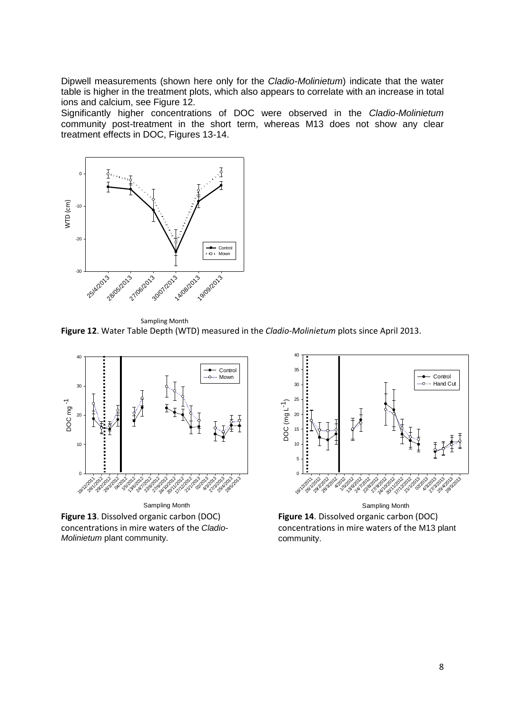Dipwell measurements (shown here only for the *Cladio-Molinietum*) indicate that the water table is higher in the treatment plots, which also appears to correlate with an increase in total ions and calcium, see Figure 12.

Significantly higher concentrations of DOC were observed in the *Cladio-Molinietum* community post-treatment in the short term, whereas M13 does not show any clear treatment effects in DOC, Figures 13-14.



Sampling Month **Figure 12**. Water Table Depth (WTD) measured in the *Cladio-Molinietum* plots since April 2013.

![](_page_7_Figure_4.jpeg)

**Figure 13**. Dissolved organic carbon (DOC) concentrations in mire waters of the *Cladio-Molinietum* plant community.

![](_page_7_Figure_6.jpeg)

**Figure 14**. Dissolved organic carbon (DOC) concentrations in mire waters of the M13 plant community.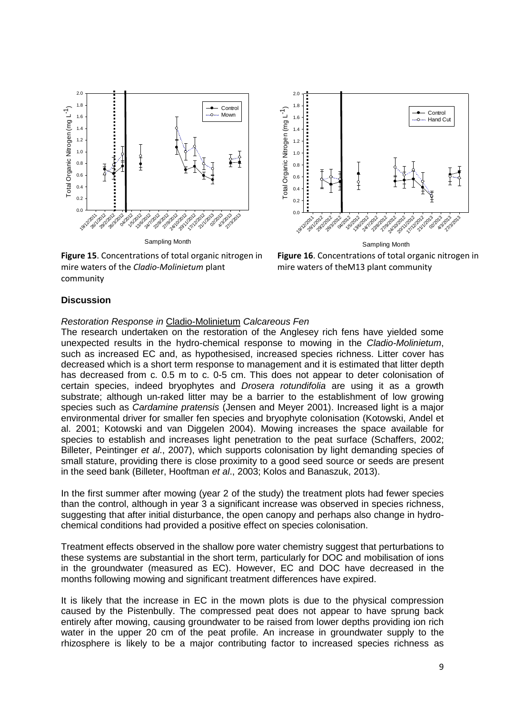![](_page_8_Figure_0.jpeg)

![](_page_8_Figure_1.jpeg)

**Figure 15**. Concentrations of total organic nitrogen in mire waters of the *Cladio-Molinietum* plant community

**Figure 16**. Concentrations of total organic nitrogen in mire waters of theM13 plant community

## **Discussion**

#### *Restoration Response in* Cladio-Molinietum *Calcareous Fen*

The research undertaken on the restoration of the Anglesey rich fens have yielded some unexpected results in the hydro-chemical response to mowing in the *Cladio-Molinietum*, such as increased EC and, as hypothesised, increased species richness. Litter cover has decreased which is a short term response to management and it is estimated that litter depth has decreased from c. 0.5 m to c. 0-5 cm. This does not appear to deter colonisation of certain species, indeed bryophytes and *Drosera rotundifolia* are using it as a growth substrate; although un-raked litter may be a barrier to the establishment of low growing species such as *Cardamine pratensis* [\(Jensen and Meyer 2001\)](#page-12-3). Increased light is a major environmental driver for smaller fen species and bryophyte colonisation [\(Kotowski, Andel et](#page-12-4)  [al. 2001;](#page-12-4) [Kotowski and van Diggelen 2004\)](#page-12-5). Mowing increases the space available for species to establish and increases light penetration to the peat surface [\(Schaffers,](#page-13-6) 2002; [Billeter, Peintinger](#page-11-7) *et al*., 2007), which supports colonisation by light demanding species of small stature, providing there is close proximity to a good seed source or seeds are present in the seed bank [\(Billeter, Hooftman](#page-11-8) *et al*., 2003; [Kolos and Banaszuk,](#page-12-6) 2013).

In the first summer after mowing (year 2 of the study) the treatment plots had fewer species than the control, although in year 3 a significant increase was observed in species richness, suggesting that after initial disturbance, the open canopy and perhaps also change in hydrochemical conditions had provided a positive effect on species colonisation.

Treatment effects observed in the shallow pore water chemistry suggest that perturbations to these systems are substantial in the short term, particularly for DOC and mobilisation of ions in the groundwater (measured as EC). However, EC and DOC have decreased in the months following mowing and significant treatment differences have expired.

It is likely that the increase in EC in the mown plots is due to the physical compression caused by the Pistenbully. The compressed peat does not appear to have sprung back entirely after mowing, causing groundwater to be raised from lower depths providing ion rich water in the upper 20 cm of the peat profile. An increase in groundwater supply to the rhizosphere is likely to be a major contributing factor to increased species richness as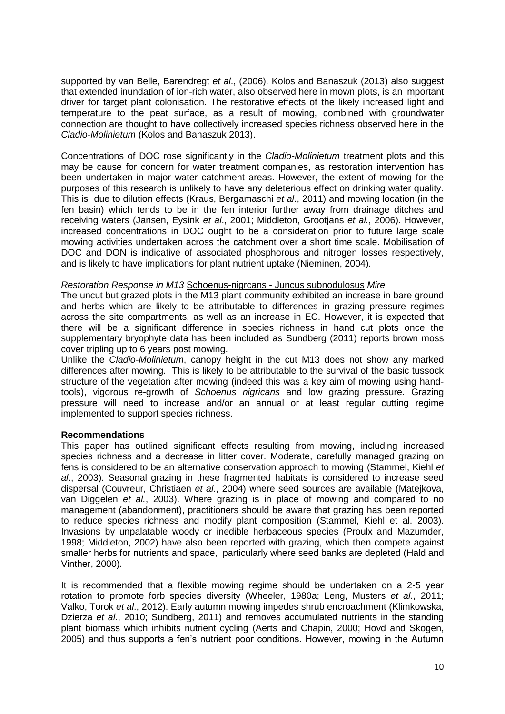supported by [van Belle, Barendregt](#page-13-7) *et al*., (2006). [Kolos and Banaszuk \(2013\)](#page-12-6) also suggest that extended inundation of ion-rich water, also observed here in mown plots, is an important driver for target plant colonisation. The restorative effects of the likely increased light and temperature to the peat surface, as a result of mowing, combined with groundwater connection are thought to have collectively increased species richness observed here in the *Cladio-Molinietum* [\(Kolos and Banaszuk 2013\)](#page-12-6).

Concentrations of DOC rose significantly in the *Cladio-Molinietum* treatment plots and this may be cause for concern for water treatment companies, as restoration intervention has been undertaken in major water catchment areas. However, the extent of mowing for the purposes of this research is unlikely to have any deleterious effect on drinking water quality. This is due to dilution effects [\(Kraus, Bergamaschi](#page-12-7) *et al*., 2011) and mowing location (in the fen basin) which tends to be in the fen interior further away from drainage ditches and receiving waters [\(Jansen, Eysink](#page-12-8) *et al*., 2001; [Middleton, Grootjans](#page-12-9) *et al.*, 2006). However, increased concentrations in DOC ought to be a consideration prior to future large scale mowing activities undertaken across the catchment over a short time scale. Mobilisation of DOC and DON is indicative of associated phosphorous and nitrogen losses respectively, and is likely to have implications for plant nutrient uptake [\(Nieminen,](#page-13-5) 2004).

## *Restoration Response in M13* Schoenus-nigrcans - Juncus subnodulosus *Mire*

The uncut but grazed plots in the M13 plant community exhibited an increase in bare ground and herbs which are likely to be attributable to differences in grazing pressure regimes across the site compartments, as well as an increase in EC. However, it is expected that there will be a significant difference in species richness in hand cut plots once the supplementary bryophyte data has been included as [Sundberg \(2011\)](#page-13-8) reports brown moss cover tripling up to 6 years post mowing.

Unlike the *Cladio-Molinietum*, canopy height in the cut M13 does not show any marked differences after mowing. This is likely to be attributable to the survival of the basic tussock structure of the vegetation after mowing (indeed this was a key aim of mowing using handtools), vigorous re-growth of *Schoenus nigricans* and low grazing pressure. Grazing pressure will need to increase and/or an annual or at least regular cutting regime implemented to support species richness.

#### **Recommendations**

This paper has outlined significant effects resulting from mowing, including increased species richness and a decrease in litter cover. Moderate, carefully managed grazing on fens is considered to be an alternative conservation approach to mowing [\(Stammel, Kiehl](#page-13-9) *et al*., [2003\)](#page-13-9). Seasonal grazing in these fragmented habitats is considered to increase seed dispersal [\(Couvreur, Christiaen](#page-11-9) *et al*., 2004) where seed sources are available [\(Matejkova,](#page-12-10)  [van Diggelen](#page-12-10) *et al.*, 2003). Where grazing is in place of mowing and compared to no management (abandonment), practitioners should be aware that grazing has been reported to reduce species richness and modify plant composition [\(Stammel, Kiehl et al. 2003\)](#page-13-9). Invasions by unpalatable woody or inedible herbaceous species [\(Proulx and Mazumder,](#page-13-10) [1998;](#page-13-10) [Middleton,](#page-12-11) 2002) have also been reported with grazing, which then compete against smaller herbs for nutrients and space, particularly where seed banks are depleted [\(Hald and](#page-11-10)  [Vinther,](#page-11-10) 2000).

It is recommended that a flexible mowing regime should be undertaken on a 2-5 year rotation to promote forb species diversity (Wheeler, 1980a; [Leng, Musters](#page-12-12) *et al*., 2011; [Valko, Torok](#page-13-11) *et al*., 2012). Early autumn mowing impedes shrub encroachment [\(Klimkowska,](#page-12-13)  [Dzierza](#page-12-13) *et al*., 2010; [Sundberg,](#page-13-8) 2011) and removes accumulated nutrients in the standing plant biomass which inhibits nutrient cycling [\(Aerts and Chapin,](#page-10-1) 2000; [Hovd and Skogen,](#page-11-11) [2005\)](#page-11-11) and thus supports a fen's nutrient poor conditions. However, mowing in the Autumn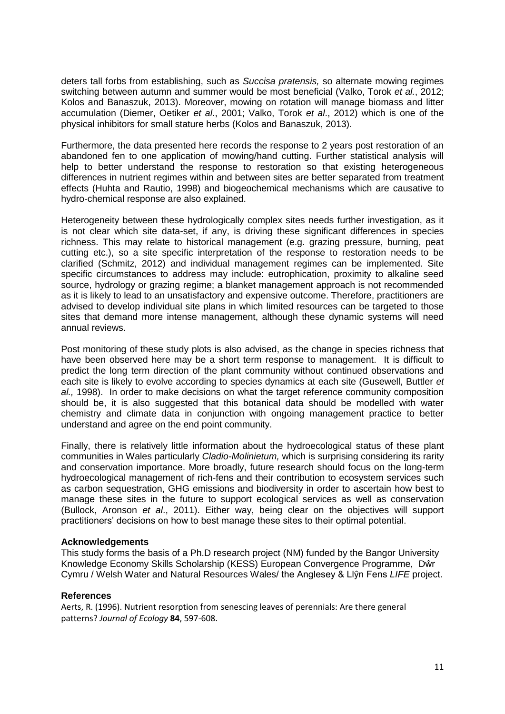deters tall forbs from establishing, such as *Succisa pratensis,* so alternate mowing regimes switching between autumn and summer would be most beneficial [\(Valko, Torok](#page-13-11) *et al.*, 2012; [Kolos and Banaszuk,](#page-12-6) 2013). Moreover, mowing on rotation will manage biomass and litter accumulation [\(Diemer, Oetiker](#page-11-12) *et al*., 2001; [Valko, Torok](#page-13-11) *et al*., 2012) which is one of the physical inhibitors for small stature herbs [\(Kolos and Banaszuk,](#page-12-6) 2013).

Furthermore, the data presented here records the response to 2 years post restoration of an abandoned fen to one application of mowing/hand cutting. Further statistical analysis will help to better understand the response to restoration so that existing heterogeneous differences in nutrient regimes within and between sites are better separated from treatment effects [\(Huhta and Rautio,](#page-11-13) 1998) and biogeochemical mechanisms which are causative to hydro-chemical response are also explained.

Heterogeneity between these hydrologically complex sites needs further investigation, as it is not clear which site data-set, if any, is driving these significant differences in species richness. This may relate to historical management (e.g. grazing pressure, burning, peat cutting etc.), so a site specific interpretation of the response to restoration needs to be clarified [\(Schmitz,](#page-13-12) 2012) and individual management regimes can be implemented. Site specific circumstances to address may include: eutrophication, proximity to alkaline seed source, hydrology or grazing regime; a blanket management approach is not recommended as it is likely to lead to an unsatisfactory and expensive outcome. Therefore, practitioners are advised to develop individual site plans in which limited resources can be targeted to those sites that demand more intense management, although these dynamic systems will need annual reviews.

Post monitoring of these study plots is also advised, as the change in species richness that have been observed here may be a short term response to management. It is difficult to predict the long term direction of the plant community without continued observations and each site is likely to evolve according to species dynamics at each site [\(Gusewell, Buttler](#page-11-14) *et al.,* [1998\)](#page-11-14). In order to make decisions on what the target reference community composition should be, it is also suggested that this botanical data should be modelled with water chemistry and climate data in conjunction with ongoing management practice to better understand and agree on the end point community.

Finally, there is relatively little information about the hydroecological status of these plant communities in Wales particularly *Cladio-Molinietum,* which is surprising considering its rarity and conservation importance. More broadly, future research should focus on the long-term hydroecological management of rich-fens and their contribution to ecosystem services such as carbon sequestration, GHG emissions and biodiversity in order to ascertain how best to manage these sites in the future to support ecological services as well as conservation [\(Bullock, Aronson](#page-11-15) *et al*., 2011). Either way, being clear on the objectives will support practitioners' decisions on how to best manage these sites to their optimal potential.

# **Acknowledgements**

This study forms the basis of a Ph.D research project (NM) funded by the Bangor University Knowledge Economy Skills Scholarship (KESS) European Convergence Programme, Dŵr Cymru / Welsh Water and Natural Resources Wales/ the Anglesey & Llŷn Fens *LIFE* project.

#### **References**

<span id="page-10-1"></span><span id="page-10-0"></span>Aerts, R. (1996). Nutrient resorption from senescing leaves of perennials: Are there general patterns? *Journal of Ecology* **84**, 597-608.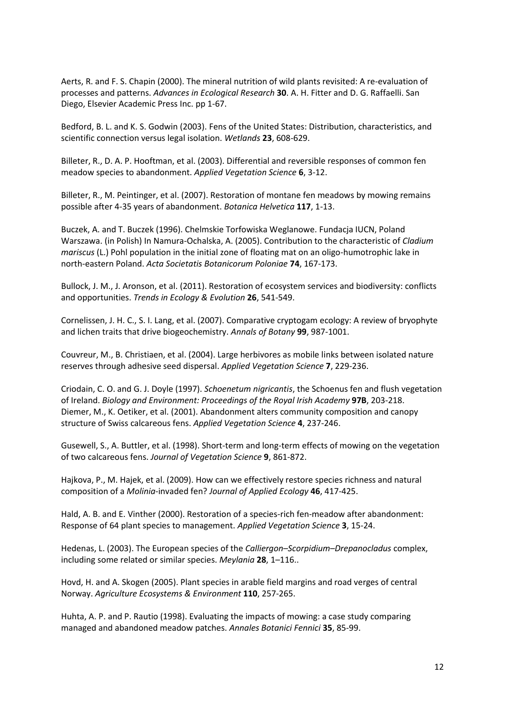Aerts, R. and F. S. Chapin (2000). The mineral nutrition of wild plants revisited: A re-evaluation of processes and patterns. *Advances in Ecological Research* **30**. A. H. Fitter and D. G. Raffaelli. San Diego, Elsevier Academic Press Inc. pp 1-67.

<span id="page-11-1"></span>Bedford, B. L. and K. S. Godwin (2003). Fens of the United States: Distribution, characteristics, and scientific connection versus legal isolation. *Wetlands* **23**, 608-629.

<span id="page-11-8"></span>Billeter, R., D. A. P. Hooftman, et al. (2003). Differential and reversible responses of common fen meadow species to abandonment. *Applied Vegetation Science* **6**, 3-12.

<span id="page-11-7"></span>Billeter, R., M. Peintinger, et al. (2007). Restoration of montane fen meadows by mowing remains possible after 4-35 years of abandonment. *Botanica Helvetica* **117**, 1-13.

<span id="page-11-5"></span>Buczek, A. and T. Buczek (1996). Chelmskie Torfowiska Weglanowe. Fundacja IUCN, Poland Warszawa. (in Polish) In Namura-Ochalska, A. (2005). Contribution to the characteristic of *Cladium mariscus* (L.) Pohl population in the initial zone of floating mat on an oligo-humotrophic lake in north-eastern Poland. *Acta Societatis Botanicorum Poloniae* **74**, 167-173.

<span id="page-11-15"></span>Bullock, J. M., J. Aronson, et al. (2011). Restoration of ecosystem services and biodiversity: conflicts and opportunities. *Trends in Ecology & Evolution* **26**, 541-549.

<span id="page-11-3"></span>Cornelissen, J. H. C., S. I. Lang, et al. (2007). Comparative cryptogam ecology: A review of bryophyte and lichen traits that drive biogeochemistry. *Annals of Botany* **99**, 987-1001.

<span id="page-11-9"></span>Couvreur, M., B. Christiaen, et al. (2004). Large herbivores as mobile links between isolated nature reserves through adhesive seed dispersal. *Applied Vegetation Science* **7**, 229-236.

<span id="page-11-12"></span><span id="page-11-6"></span>Criodain, C. O. and G. J. Doyle (1997). *Schoenetum nigricantis*, the Schoenus fen and flush vegetation of Ireland. *Biology and Environment: Proceedings of the Royal Irish Academy* **97B**, 203-218. Diemer, M., K. Oetiker, et al. (2001). Abandonment alters community composition and canopy structure of Swiss calcareous fens. *Applied Vegetation Science* **4**, 237-246.

<span id="page-11-14"></span>Gusewell, S., A. Buttler, et al. (1998). Short-term and long-term effects of mowing on the vegetation of two calcareous fens. *Journal of Vegetation Science* **9**, 861-872.

<span id="page-11-0"></span>Hajkova, P., M. Hajek, et al. (2009). How can we effectively restore species richness and natural composition of a *Molinia*-invaded fen? *Journal of Applied Ecology* **46**, 417-425.

<span id="page-11-10"></span>Hald, A. B. and E. Vinther (2000). Restoration of a species-rich fen-meadow after abandonment: Response of 64 plant species to management. *Applied Vegetation Science* **3**, 15-24.

<span id="page-11-2"></span>Hedenas, L. (2003). The European species of the *Calliergon–Scorpidium–Drepanocladus* complex, including some related or similar species. *Meylania* **28**, 1–116..

<span id="page-11-11"></span>Hovd, H. and A. Skogen (2005). Plant species in arable field margins and road verges of central Norway. *Agriculture Ecosystems & Environment* **110**, 257-265.

<span id="page-11-13"></span><span id="page-11-4"></span>Huhta, A. P. and P. Rautio (1998). Evaluating the impacts of mowing: a case study comparing managed and abandoned meadow patches. *Annales Botanici Fennici* **35**, 85-99.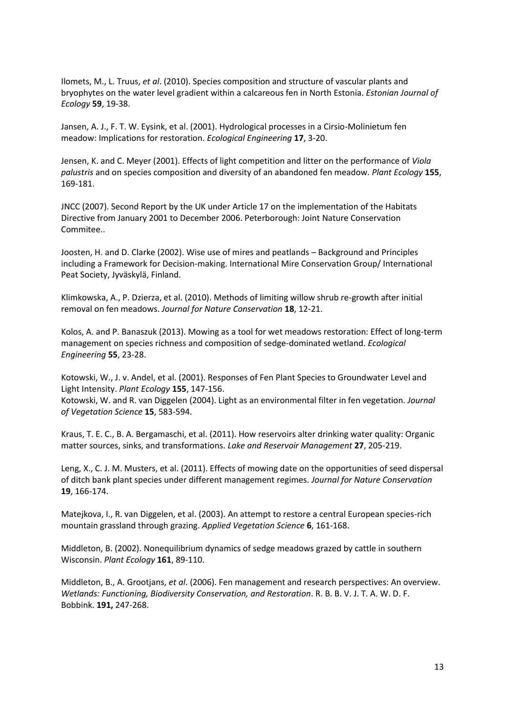Ilomets, M., L. Truus, *et al*. (2010). Species composition and structure of vascular plants and bryophytes on the water level gradient within a calcareous fen in North Estonia. *Estonian Journal of Ecology* **59**, 19-38.

<span id="page-12-8"></span>Jansen, A. J., F. T. W. Eysink, et al. (2001). Hydrological processes in a Cirsio-Molinietum fen meadow: Implications for restoration. *Ecological Engineering* **17**, 3-20.

<span id="page-12-3"></span>Jensen, K. and C. Meyer (2001). Effects of light competition and litter on the performance of *Viola palustris* and on species composition and diversity of an abandoned fen meadow. *Plant Ecology* **155**, 169-181.

<span id="page-12-1"></span>JNCC (2007). Second Report by the UK under Article 17 on the implementation of the Habitats Directive from January 2001 to December 2006. Peterborough: Joint Nature Conservation Commitee..

<span id="page-12-0"></span>Joosten, H. and D. Clarke (2002). Wise use of mires and peatlands – Background and Principles including a Framework for Decision-making. International Mire Conservation Group/ International Peat Society, Jyväskylä, Finland.

<span id="page-12-13"></span>Klimkowska, A., P. Dzierza, et al. (2010). Methods of limiting willow shrub re-growth after initial removal on fen meadows. *Journal for Nature Conservation* **18**, 12-21.

<span id="page-12-6"></span>Kolos, A. and P. Banaszuk (2013). Mowing as a tool for wet meadows restoration: Effect of long-term management on species richness and composition of sedge-dominated wetland. *Ecological Engineering* **55**, 23-28.

<span id="page-12-4"></span>Kotowski, W., J. v. Andel, et al. (2001). Responses of Fen Plant Species to Groundwater Level and Light Intensity. *Plant Ecology* **155**, 147-156.

<span id="page-12-5"></span>Kotowski, W. and R. van Diggelen (2004). Light as an environmental filter in fen vegetation. *Journal of Vegetation Science* **15**, 583-594.

<span id="page-12-7"></span>Kraus, T. E. C., B. A. Bergamaschi, et al. (2011). How reservoirs alter drinking water quality: Organic matter sources, sinks, and transformations. *Lake and Reservoir Management* **27**, 205-219.

<span id="page-12-12"></span>Leng, X., C. J. M. Musters, et al. (2011). Effects of mowing date on the opportunities of seed dispersal of ditch bank plant species under different management regimes. *Journal for Nature Conservation* **19**, 166-174.

<span id="page-12-10"></span>Matejkova, I., R. van Diggelen, et al. (2003). An attempt to restore a central European species-rich mountain grassland through grazing. *Applied Vegetation Science* **6**, 161-168.

<span id="page-12-11"></span>Middleton, B. (2002). Nonequilibrium dynamics of sedge meadows grazed by cattle in southern Wisconsin. *Plant Ecology* **161**, 89-110.

<span id="page-12-9"></span><span id="page-12-2"></span>Middleton, B., A. Grootjans, *et al*. (2006). Fen management and research perspectives: An overview. *Wetlands: Functioning, Biodiversity Conservation, and Restoration*. R. B. B. V. J. T. A. W. D. F. Bobbink. **191,** 247-268.